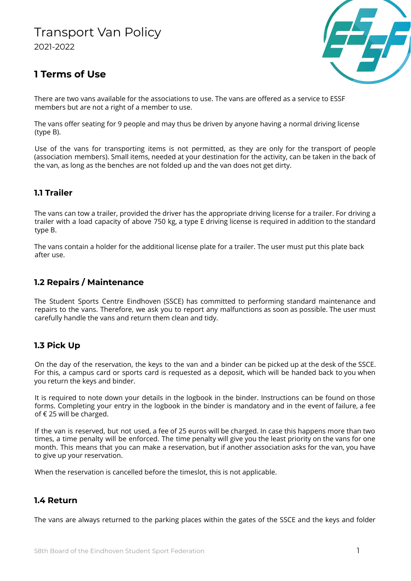# Transport Van Policy 2021-2022



# **1 Terms of Use**

There are two vans available for the associations to use. The vans are offered as a service to ESSF members but are not a right of a member to use.

The vans offer seating for 9 people and may thus be driven by anyone having a normal driving license (type B).

Use of the vans for transporting items is not permitted, as they are only for the transport of people (association members). Small items, needed at your destination for the activity, can be taken in the back of the van, as long as the benches are not folded up and the van does not get dirty.

### **1.1 Trailer**

The vans can tow a trailer, provided the driver has the appropriate driving license for a trailer. For driving a trailer with a load capacity of above 750 kg, a type E driving license is required in addition to the standard type B.

The vans contain a holder for the additional license plate for a trailer. The user must put this plate back after use.

#### **1.2 Repairs / Maintenance**

The Student Sports Centre Eindhoven (SSCE) has committed to performing standard maintenance and repairs to the vans. Therefore, we ask you to report any malfunctions as soon as possible. The user must carefully handle the vans and return them clean and tidy.

### **1.3 Pick Up**

On the day of the reservation, the keys to the van and a binder can be picked up at the desk of the SSCE. For this, a campus card or sports card is requested as a deposit, which will be handed back to you when you return the keys and binder.

It is required to note down your details in the logbook in the binder. Instructions can be found on those forms. Completing your entry in the logbook in the binder is mandatory and in the event of failure, a fee of € 25 will be charged.

If the van is reserved, but not used, a fee of 25 euros will be charged. In case this happens more than two times, a time penalty will be enforced. The time penalty will give you the least priority on the vans for one month. This means that you can make a reservation, but if another association asks for the van, you have to give up your reservation.

When the reservation is cancelled before the timeslot, this is not applicable.

#### **1.4 Return**

The vans are always returned to the parking places within the gates of the SSCE and the keys and folder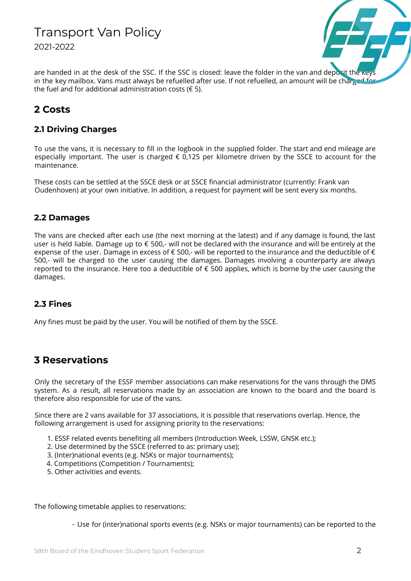# Transport Van Policy 2021-2022



are handed in at the desk of the SSC. If the SSC is closed: leave the folder in the van and deposit the ke in the key mailbox. Vans must always be refuelled after use. If not refuelled, an amount will be charged for the fuel and for additional administration costs ( $\epsilon$  5).

## **2 Costs**

### **2.1 Driving Charges**

To use the vans, it is necessary to fill in the logbook in the supplied folder. The start and end mileage are especially important. The user is charged  $\epsilon$  0,125 per kilometre driven by the SSCE to account for the maintenance.

These costs can be settled at the SSCE desk or at SSCE financial administrator (currently: Frank van Oudenhoven) at your own initiative. In addition, a request for payment will be sent every six months.

#### **2.2 Damages**

The vans are checked after each use (the next morning at the latest) and if any damage is found, the last user is held liable. Damage up to € 500,- will not be declared with the insurance and will be entirely at the expense of the user. Damage in excess of € 500,- will be reported to the insurance and the deductible of € 500,- will be charged to the user causing the damages. Damages involving a counterparty are always reported to the insurance. Here too a deductible of € 500 applies, which is borne by the user causing the damages.

### **2.3 Fines**

Any fines must be paid by the user. You will be notified of them by the SSCE.

# **3 Reservations**

Only the secretary of the ESSF member associations can make reservations for the vans through the DMS system. As a result, all reservations made by an association are known to the board and the board is therefore also responsible for use of the vans.

Since there are 2 vans available for 37 associations, it is possible that reservations overlap. Hence, the following arrangement is used for assigning priority to the reservations:

- 1. ESSF related events benefiting all members (Introduction Week, LSSW, GNSK etc.);
- 2. Use determined by the SSCE (referred to as: primary use);
- 3. (Inter)national events (e.g. NSKs or major tournaments);
- 4. Competitions (Competition / Tournaments);
- 5. Other activities and events.

The following timetable applies to reservations:

- Use for (inter)national sports events (e.g. NSKs or major tournaments) can be reported to the